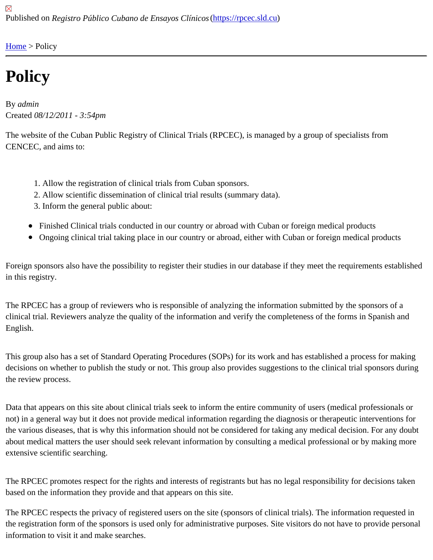[Home](https://rpcec.sld.cu/en) > Policy

## **Policy**

By admin Created 08/12/2011 - 3:54pm

The website of the Cuban Public Registry of Clinical Trials (RPCEC), is managed by a group of specialists from CENCEC, and aims to:

- 1. Allow the registration of clinical trials from Cuban sponsors.
- 2. Allow scientific dissemination of clinical trial results (summary data).
- 3. Inform the general public about:
- Finished Clinical trials conducted in our country or abroad with Cuban or foreign medical products
- Ongoing clinical trial taking place in our country or abroad, either with Cuban or foreign medical products

Foreign sponsors also have the possibility to register their studies in our database if they meet the requirements e in this registry.

The RPCEC has a group of reviewers who is responsible of analyzing the information submitted by the sponsors o clinical trial. Reviewers analyze the quality of the information and verify the completeness of the forms in Spanish English.

This group also has a set of Standard Operating Procedures (SOPs) for its work and has established a process fo decisions on whether to publish the study or not. This group also provides suggestions to the clinical trial sponsors the review process.

Data that appears on this site about clinical trials seek to inform the entire community of users (medical profession not) in a general way but it does not provide medical information regarding the diagnosis or therapeutic interventio the various diseases, that is why this information should not be considered for taking any medical decision. For an about medical matters the user should seek relevant information by consulting a medical professional or by making extensive scientific searching.

The RPCEC promotes respect for the rights and interests of registrants but has no legal responsibility for decision based on the information they provide and that appears on this site.

The RPCEC respects the privacy of registered users on the site (sponsors of clinical trials). The information reque the registration form of the sponsors is used only for administrative purposes. Site visitors do not have to provide p information to visit it and make searches.